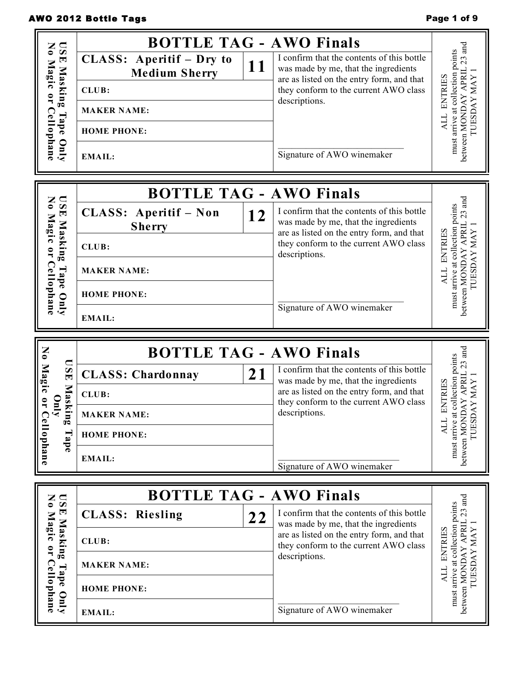## AWO 2012 Bottle Tags **Page 1 of 9** and 2012 Bottle Tags

| z<br>$\overline{\mathbf{S}}$                                                                                       |                                                                                                       | <b>BOTTLE TAG - AWO Finals</b>                                                                                                                                                                  |                                                                                                               |
|--------------------------------------------------------------------------------------------------------------------|-------------------------------------------------------------------------------------------------------|-------------------------------------------------------------------------------------------------------------------------------------------------------------------------------------------------|---------------------------------------------------------------------------------------------------------------|
| $\bullet$<br>$\blacksquare$<br><b>Nag</b><br>Masking<br>౧<br>$\overline{\mathbf{r}}$<br>Cellophane<br>Tape<br>Vnly | CLASS: Aperitif - Dry to<br><b>Medium Sherry</b><br>CLUB:<br><b>MAKER NAME:</b><br><b>HOME PHONE:</b> | I confirm that the contents of this bottle<br>11<br>was made by me, that the ingredients<br>are as listed on the entry form, and that<br>they conform to the current AWO class<br>descriptions. | $-23$ and<br>must arrive at collection points<br>between MONDAY APRIL<br><b>TUESDAY MAY</b><br>ENTRIES<br>ALL |
|                                                                                                                    | <b>EMAIL:</b>                                                                                         | Signature of AWO winemaker                                                                                                                                                                      |                                                                                                               |
|                                                                                                                    |                                                                                                       | <b>BOTTLE TAG - AWO Finals</b>                                                                                                                                                                  |                                                                                                               |
| $\mathbf{N}$<br>$\overline{\mathbf{S}}$<br>$\blacktriangledown$<br><b>Nag</b>                                      | CLASS: Aperitif - Non<br><b>Sherry</b>                                                                | I confirm that the contents of this bottle<br>12<br>was made by me, that the ingredients<br>are as listed on the entry form, and that                                                           | between MONDAY APRIL 23 and<br>must arrive at collection points                                               |
| Masking<br>$\ddot{\phantom{1}}$<br>$\overline{\mathbf{r}}$                                                         | CLUB:                                                                                                 | they conform to the current AWO class<br>descriptions.                                                                                                                                          | <b>ENTRIES</b><br>TUESDAY MAY                                                                                 |
| Cel<br>Tape                                                                                                        | <b>MAKER NAME:</b>                                                                                    |                                                                                                                                                                                                 | <b>ALL</b>                                                                                                    |
| llophane<br>Qnly                                                                                                   | <b>HOME PHONE:</b>                                                                                    |                                                                                                                                                                                                 |                                                                                                               |
|                                                                                                                    | <b>EMAIL:</b>                                                                                         | Signature of AWO winemaker                                                                                                                                                                      |                                                                                                               |
|                                                                                                                    |                                                                                                       |                                                                                                                                                                                                 |                                                                                                               |
|                                                                                                                    |                                                                                                       | <b>BOTTLE TAG - AWO Finals</b>                                                                                                                                                                  |                                                                                                               |
| $\overline{\mathbf{S}}$<br>$\overline{\mathbf{E}}$                                                                 | <b>CLASS: Chardonnay</b>                                                                              | I confirm that the contents of this bottle<br>21<br>was made by me, that the ingredients                                                                                                        | $.23$ and                                                                                                     |
| No Magic                                                                                                           | CLUB:                                                                                                 | are as listed on the entry form, and that<br>they conform to the current AWO class                                                                                                              |                                                                                                               |
| Mask<br>$\overline{\phantom{0}}$<br>$\overline{\mathbf{u}}$<br>ing                                                 | <b>MAKER NAME:</b>                                                                                    | descriptions.                                                                                                                                                                                   | collection points<br>AY MAY<br><b>ENTRIES</b>                                                                 |
|                                                                                                                    | <b>HOME PHONE:</b>                                                                                    |                                                                                                                                                                                                 | TUESD<br><b>ALL</b>                                                                                           |
| Cellophane<br>Tape                                                                                                 | <b>EMAIL:</b>                                                                                         | Signature of AWO winemaker                                                                                                                                                                      | between MONDAY APRIL<br>must arrive at                                                                        |
| Z                                                                                                                  |                                                                                                       |                                                                                                                                                                                                 |                                                                                                               |
| $\overline{\mathbf{S}}$<br>$\overline{\bullet}$<br>$\blacksquare$                                                  | <b>CLASS: Riesling</b>                                                                                | <b>BOTTLE TAG - AWO Finals</b><br>I confirm that the contents of this bottle<br>22                                                                                                              | $23$ and                                                                                                      |
| <b>Nag</b><br>C                                                                                                    | CLUB:                                                                                                 | was made by me, that the ingredients<br>are as listed on the entry form, and that<br>they conform to the current AWO class                                                                      |                                                                                                               |
| Masking<br>$\mathbf{r}$<br>ြင္                                                                                     | <b>MAKER NAME:</b>                                                                                    | descriptions.                                                                                                                                                                                   | <b>ENTRIES</b>                                                                                                |
| Tape<br>ape Only<br>llophane                                                                                       | <b>HOME PHONE:</b>                                                                                    |                                                                                                                                                                                                 | must arrive at collection points<br>between MONDAY APRIL<br>TUESDAY MAY<br>ALL                                |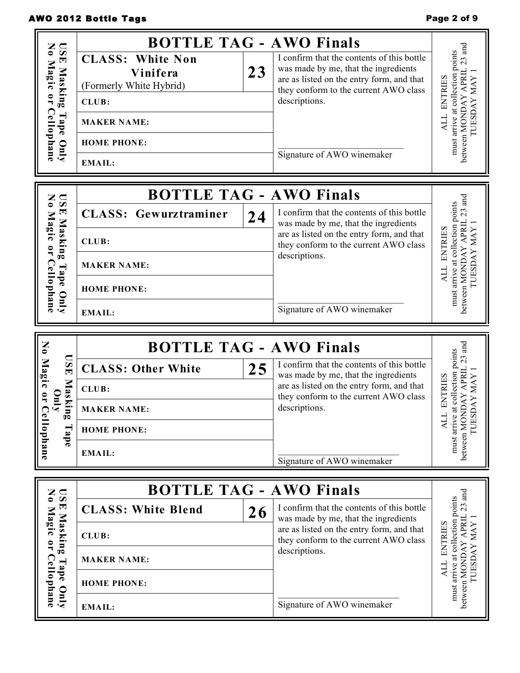# AWO 2012 Bottle Tags **Page 2 of 9** and 2012 Bottle Tags

| $\overline{\mathbf{S}}$<br>Z<br>$\bullet$<br>国<br>Magi<br>Masking<br>౧<br>∺<br>Cellophane<br>Tape<br>Qm | <b>BOTTLE TAG - AWO Finals</b><br><b>CLASS: White Non</b><br>Vinifera<br>(Formerly White Hybrid)<br>CLUB:<br><b>MAKER NAME:</b><br><b>HOME PHONE:</b><br><b>EMAIL:</b> | 23 | I confirm that the contents of this bottle<br>was made by me, that the ingredients<br>are as listed on the entry form, and that<br>they conform to the current AWO class<br>descriptions.<br>Signature of AWO winemaker | between MONDAY APRIL 23 and<br>must arrive at collection points<br>ENTRIES<br><b>MAY</b><br><b>TUESDAY</b><br>ALL |
|---------------------------------------------------------------------------------------------------------|------------------------------------------------------------------------------------------------------------------------------------------------------------------------|----|-------------------------------------------------------------------------------------------------------------------------------------------------------------------------------------------------------------------------|-------------------------------------------------------------------------------------------------------------------|
| $\overline{\mathbf{S}}$<br>Z                                                                            | <b>BOTTLE TAG - AWO Finals</b>                                                                                                                                         |    |                                                                                                                                                                                                                         |                                                                                                                   |
| $\bullet$<br>国<br>Mag                                                                                   | <b>CLASS: Gewurztraminer</b>                                                                                                                                           | 24 | I confirm that the contents of this bottle<br>was made by me, that the ingredients                                                                                                                                      | $23$ and<br>at collection points                                                                                  |
| Masking<br>౧                                                                                            | CLUB:                                                                                                                                                                  |    | are as listed on the entry form, and that<br>they conform to the current AWO class                                                                                                                                      | ENTRIES                                                                                                           |
| ∹<br>$\mathbf{C}$<br>Tape                                                                               | <b>MAKER NAME:</b>                                                                                                                                                     |    | descriptions.                                                                                                                                                                                                           | between MONDAY APRIL<br><b>IUESDAY MAY</b><br>ALL<br>arrive<br>must                                               |
| llophane                                                                                                | <b>HOME PHONE:</b>                                                                                                                                                     |    |                                                                                                                                                                                                                         |                                                                                                                   |
| یع                                                                                                      | Dml<br><b>EMAIL:</b>                                                                                                                                                   |    | Signature of AWO winemaker                                                                                                                                                                                              |                                                                                                                   |
|                                                                                                         |                                                                                                                                                                        |    |                                                                                                                                                                                                                         |                                                                                                                   |
|                                                                                                         | <b>BOTTLE TAG - AWO Finals</b>                                                                                                                                         |    |                                                                                                                                                                                                                         |                                                                                                                   |
| $\overline{\mathbf{S}}$<br>茵                                                                            | <b>CLASS: Other White</b>                                                                                                                                              | 25 | I confirm that the contents of this bottle<br>was made by me, that the ingredients                                                                                                                                      | $.23$ and                                                                                                         |
| No Magic                                                                                                | CLUB:                                                                                                                                                                  |    | are as listed on the entry form, and that                                                                                                                                                                               |                                                                                                                   |
| Maski<br>$\overline{a}$<br>$\overline{\mathbf{u}}$                                                      | <b>MAKER NAME:</b>                                                                                                                                                     |    | they conform to the current AWO class<br>descriptions.                                                                                                                                                                  | collection points<br>JAY APRIL<br>ENTRIES<br>AY MAY                                                               |
| $\mathbf{u}_\mathbf{c}$                                                                                 | <b>HOME PHONE:</b>                                                                                                                                                     |    |                                                                                                                                                                                                                         | TUESD<br><b>ALL</b>                                                                                               |
| Cellophane<br>Tape                                                                                      | <b>EMAIL:</b>                                                                                                                                                          |    | Signature of AWO winemaker                                                                                                                                                                                              | must arrive at<br>between MONL                                                                                    |
|                                                                                                         |                                                                                                                                                                        |    |                                                                                                                                                                                                                         |                                                                                                                   |
| $\overline{\mathbf{S}}$<br>$\bullet$<br>티                                                               | <b>BOTTLE TAG - AWO Finals</b><br><b>CLASS: White Blend</b>                                                                                                            |    | I confirm that the contents of this bottle                                                                                                                                                                              |                                                                                                                   |
| ౧                                                                                                       | CLUB:                                                                                                                                                                  | 26 | was made by me, that the ingredients<br>are as listed on the entry form, and that                                                                                                                                       |                                                                                                                   |
| Masking<br>∺                                                                                            | <b>MAKER NAME:</b>                                                                                                                                                     |    | they conform to the current AWO class<br>descriptions.                                                                                                                                                                  | <b>ENTRIES</b>                                                                                                    |
| Cel<br>Tape<br>lophane<br>Vnly                                                                          | <b>HOME PHONE:</b>                                                                                                                                                     |    |                                                                                                                                                                                                                         | between MONDAY APRIL 23 and<br>must arrive at collection points<br><b>IUESDAY MAY</b><br>ALL                      |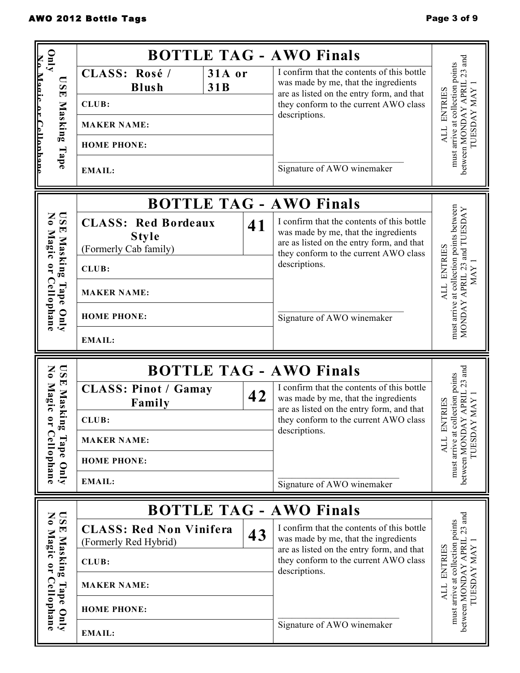| $\mathbf{C}$                                                                                         |                                                                              |               | <b>BOTTLE TAG - AWO Finals</b>                                                                                                                                                            |                                                                                                     |
|------------------------------------------------------------------------------------------------------|------------------------------------------------------------------------------|---------------|-------------------------------------------------------------------------------------------------------------------------------------------------------------------------------------------|-----------------------------------------------------------------------------------------------------|
| $\Box$<br>$\overline{a}$<br>$\blacksquare$                                                           | CLASS: Rosé /<br><b>Blush</b>                                                | 31A or<br>31B | I confirm that the contents of this bottle<br>was made by me, that the ingredients<br>are as listed on the entry form, and that                                                           | $23\ \mathrm{and}$<br>arrive at collection points                                                   |
|                                                                                                      | CLUB:                                                                        |               | they conform to the current AWO class                                                                                                                                                     | ENTRIES                                                                                             |
| Masking                                                                                              | <b>MAKER NAME:</b>                                                           |               | descriptions.                                                                                                                                                                             | <b>LOESDAY MAY</b><br>ALL                                                                           |
|                                                                                                      | <b>HOME PHONE:</b>                                                           |               |                                                                                                                                                                                           |                                                                                                     |
|                                                                                                      | Tape<br><b>EMAIL:</b>                                                        |               | Signature of AWO winemaker                                                                                                                                                                | between MONDAY APRIL<br>must                                                                        |
|                                                                                                      |                                                                              |               | <b>BOTTLE TAG - AWO Finals</b>                                                                                                                                                            |                                                                                                     |
| $\mathbf{S} \mathbf{S}$<br>$\bullet$<br>国<br>Magi<br>Masking<br>$\ddot{\phantom{1}}$<br>$\mathbf{r}$ | <b>CLASS: Red Bordeaux</b><br><b>Style</b><br>(Formerly Cab family)<br>CLUB: | 41            | I confirm that the contents of this bottle<br>was made by me, that the ingredients<br>are as listed on the entry form, and that<br>they conform to the current AWO class<br>descriptions. | must arrive at collection points between<br>MONDAY APRIL 23 and TUESDAY<br><b>ENTRIES</b>           |
| $\mathbf{G}$<br>Tape                                                                                 | <b>MAKER NAME:</b>                                                           |               |                                                                                                                                                                                           | <b>MAY</b><br>ALL                                                                                   |
| Uophane<br>Vnly<br><b>HOME PHONE:</b>                                                                |                                                                              |               | Signature of AWO winemaker                                                                                                                                                                |                                                                                                     |
|                                                                                                      | <b>EMAIL:</b>                                                                |               |                                                                                                                                                                                           |                                                                                                     |
| $\overline{\mathbf{S}}$<br>Z<br>$\bullet$                                                            |                                                                              |               | <b>BOTTLE TAG - AWO Finals</b>                                                                                                                                                            | $23$ and                                                                                            |
| E Maski<br>Magic                                                                                     | <b>CLASS: Pinot / Gamay</b>                                                  |               | I confirm that the contents of this bottle                                                                                                                                                |                                                                                                     |
|                                                                                                      | Family                                                                       | 42            | was made by me, that the ingredients                                                                                                                                                      |                                                                                                     |
| $\mathbb{I}^{\mathfrak{g}}$<br>₹                                                                     | CLUB:                                                                        |               | are as listed on the entry form, and that<br>they conform to the current AWO class                                                                                                        | Y APRIL<br>TRIES<br><b>MAY</b>                                                                      |
|                                                                                                      | <b>MAKER NAME:</b>                                                           |               | descriptions.                                                                                                                                                                             | Ĕ                                                                                                   |
| Tape                                                                                                 | <b>HOME PHONE:</b>                                                           |               |                                                                                                                                                                                           | <b>LYVGSEQL</b><br><b>ALL</b>                                                                       |
| lophane<br>$Qm$ y                                                                                    | <b>EMAIL:</b>                                                                |               | Signature of AWO winemaker                                                                                                                                                                | must arrive at collection points<br>between MONDA!                                                  |
|                                                                                                      |                                                                              |               |                                                                                                                                                                                           |                                                                                                     |
| $\overline{\mathbf{S}}$<br>$\blacktriangleright$<br>Magı<br>౧                                        | <b>CLASS: Red Non Vinifera</b><br>(Formerly Red Hybrid)                      | 43            | <b>BOTTLE TAG - AWO Finals</b><br>I confirm that the contents of this bottle<br>was made by me, that the ingredients<br>are as listed on the entry form, and that                         |                                                                                                     |
| Masking                                                                                              | CLUB:                                                                        |               | they conform to the current AWO class<br>descriptions.                                                                                                                                    | ENTRIES                                                                                             |
| Cel                                                                                                  | <b>MAKER NAME:</b>                                                           |               |                                                                                                                                                                                           |                                                                                                     |
| Tape Only<br>lophane                                                                                 | <b>HOME PHONE:</b>                                                           |               |                                                                                                                                                                                           | between MONDAY APRIL 23 and<br>must arrive at collection points<br><b>TUESDAY MAY</b><br><b>ALL</b> |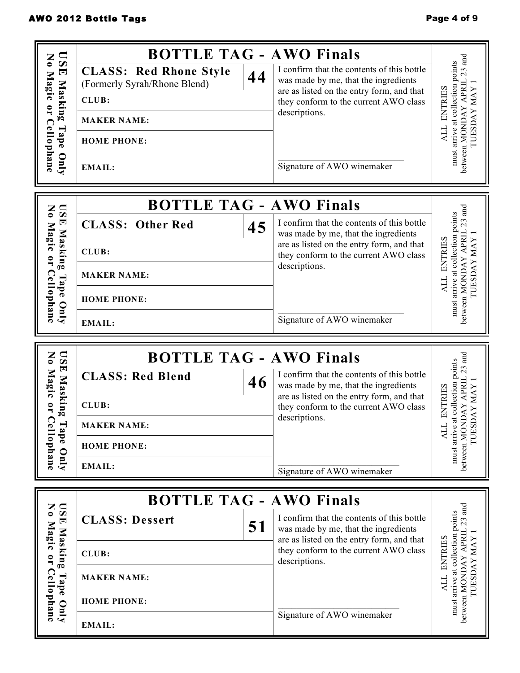| $\Box$<br>Z<br>$\mathbf{v}$                                   | <b>BOTTLE TAG - AWO Finals</b>                                      |                                                                                                                                 | and                                                      |
|---------------------------------------------------------------|---------------------------------------------------------------------|---------------------------------------------------------------------------------------------------------------------------------|----------------------------------------------------------|
| $\overline{\bullet}$<br>$\blacksquare$<br>Magic or Cellophane | <b>CLASS: Red Rhone Style</b><br>44<br>(Formerly Syrah/Rhone Blend) | I confirm that the contents of this bottle<br>was made by me, that the ingredients<br>are as listed on the entry form, and that | must arrive at collection points<br>23                   |
| Masking                                                       | CLUB:                                                               | they conform to the current AWO class                                                                                           | <b>ENTRIES</b>                                           |
|                                                               | <b>MAKER NAME:</b>                                                  | descriptions.                                                                                                                   |                                                          |
| Tape                                                          | <b>HOME PHONE:</b>                                                  |                                                                                                                                 | between MONDAY APRIL<br><b>TUESDAY MAY</b><br><b>ALL</b> |
| Qnly                                                          | <b>EMAIL:</b>                                                       | Signature of AWO winemaker                                                                                                      |                                                          |
| $\frac{1}{N}$                                                 | <b>BOTTLE TAG - AWO Finals</b>                                      |                                                                                                                                 | and                                                      |
| 国<br>Magic                                                    | <b>CLASS: Other Red</b><br>45                                       | I confirm that the contents of this bottle<br>was made by me, that the ingredients                                              | arrive at collection points<br>23                        |
| Masking<br>$\overline{\phantom{a}}$                           | CLUB:                                                               | are as listed on the entry form, and that<br>they conform to the current AWO class                                              | between MONDAY APRIL<br><b>ENTRIES</b><br>TUESDAY MAY    |
| Tape                                                          | <b>MAKER NAME:</b>                                                  | descriptions.                                                                                                                   | <b>ALL</b>                                               |
| Cellophane<br>Vnly                                            | <b>HOME PHONE:</b>                                                  |                                                                                                                                 | must                                                     |
|                                                               | <b>EMAIL:</b>                                                       | Signature of AWO winemaker                                                                                                      |                                                          |
| $\mathbf{N}$<br>$\mathbf{S}$                                  | <b>BOTTLE TAG - AWO Finals</b>                                      |                                                                                                                                 | $23$ and                                                 |
| 틴<br>Magic or                                                 | <b>CLASS: Red Blend</b><br>46                                       | I confirm that the contents of this bottle<br>was made by me, that the ingredients                                              | collection points                                        |
| Masking                                                       | CLUB:                                                               | are as listed on the entry form, and that<br>they conform to the current AWO class                                              | between MONDAY APRIL<br><b>AYMAY</b><br>ENTRIES          |
| Tape                                                          | <b>MAKER NAME:</b>                                                  | descriptions.                                                                                                                   | TUESD.<br><b>ALL</b>                                     |
| Cellophane                                                    | <b>HOME PHONE:</b>                                                  |                                                                                                                                 | must arrive at                                           |
| Qnly                                                          | <b>EMAIL:</b>                                                       | Signature of AWO winemaker                                                                                                      |                                                          |
|                                                               | <b>BOTTLE TAG - AWO Finals</b>                                      |                                                                                                                                 |                                                          |
| No Magi<br><b>ISE</b><br>Mas                                  | <b>CLASS: Dessert</b><br>51                                         | I confirm that the contents of this bottle<br>was made by me, that the ingredients<br>are as listed on the entry form, and that | PRIL 23 and<br>ction points<br>LES<br>$\overline{AY}$    |

|                                              | $DVI$ LLE $IAU$ = $AWO$ Filials |    |                                                                                                                                 |       |
|----------------------------------------------|---------------------------------|----|---------------------------------------------------------------------------------------------------------------------------------|-------|
| <b>DSI</b><br>E<br>$\mathbf{a}_{\mathbf{g}}$ | <b>CLASS: Dessert</b>           | 51 | I confirm that the contents of this bottle<br>was made by me, that the ingredients<br>are as listed on the entry form, and that | ints  |
| ≒ ສ                                          | CLUB:                           |    | they conform to the current AWO class<br>descriptions.                                                                          | RIIES |
|                                              | <b>MAKER NAME:</b>              |    |                                                                                                                                 |       |
| ᇰ                                            | <b>HOME PHONE:</b>              |    |                                                                                                                                 |       |
|                                              | <b>EMAIL:</b>                   |    | Signature of AWO winemaker                                                                                                      |       |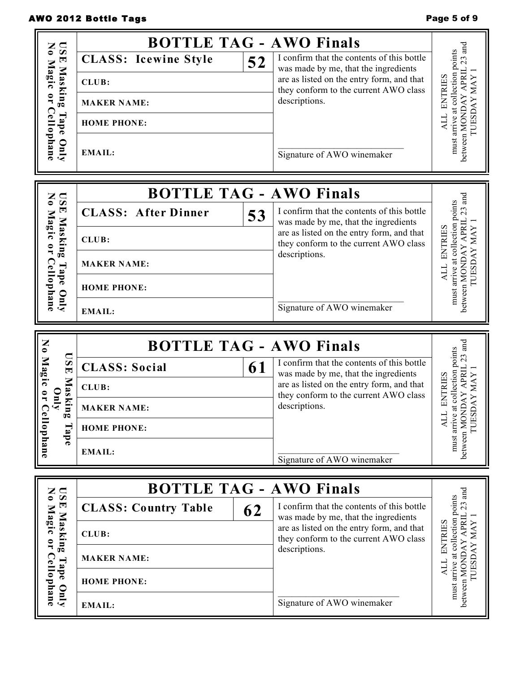## AWO 2012 Bottle Tags **Page 5 of 9** and 2012 Bottle Tags

| $\overline{\mathbf{S}}$<br>Z                                      |                                                      |    | <b>BOTTLE TAG - AWO Finals</b>                                                     |                                                                                                         |
|-------------------------------------------------------------------|------------------------------------------------------|----|------------------------------------------------------------------------------------|---------------------------------------------------------------------------------------------------------|
| $\bullet$<br>$\blacksquare$<br>Mag                                | <b>CLASS: Icewine Style</b>                          | 52 | I confirm that the contents of this bottle<br>was made by me, that the ingredients | $23$ and                                                                                                |
| Masking<br>౧                                                      | CLUB:                                                |    | are as listed on the entry form, and that<br>they conform to the current AWO class |                                                                                                         |
|                                                                   | <b>MAKER NAME:</b>                                   |    | descriptions.                                                                      | <b>ENTRIES</b><br><b>IUESDAY MAY</b>                                                                    |
| Tape                                                              | <b>HOME PHONE:</b>                                   |    |                                                                                    | ALL                                                                                                     |
| Cellophane<br>Qm                                                  | <b>EMAIL:</b>                                        |    |                                                                                    | must arrive at collection points<br>between MONDAY APRIL                                                |
|                                                                   |                                                      |    | Signature of AWO winemaker                                                         |                                                                                                         |
| Z                                                                 |                                                      |    | <b>BOTTLE TAG - AWO Finals</b>                                                     |                                                                                                         |
| $\overline{\mathbf{S}}$<br>$\bullet$<br>国<br>Mag                  | <b>CLASS: After Dinner</b>                           | 53 | I confirm that the contents of this bottle<br>was made by me, that the ingredients |                                                                                                         |
| Masking<br>C<br>$\mathbf{r}$                                      | CLUB:                                                |    | are as listed on the entry form, and that<br>they conform to the current AWO class | between MONDAY APRIL 23 and<br>must arrive at collection points<br><b>IUESDAY MAY</b><br><b>ENTRIES</b> |
|                                                                   | <b>MAKER NAME:</b>                                   |    | descriptions.                                                                      | ALL                                                                                                     |
|                                                                   | <b>Cellophane</b><br>Tape Only<br><b>HOME PHONE:</b> |    |                                                                                    |                                                                                                         |
|                                                                   | <b>EMAIL:</b>                                        |    |                                                                                    |                                                                                                         |
|                                                                   |                                                      |    |                                                                                    |                                                                                                         |
|                                                                   |                                                      |    | <b>BOTTLE TAG - AWO Finals</b>                                                     |                                                                                                         |
| $\overline{\mathbf{S}}$<br>茵                                      | <b>CLASS: Social</b>                                 | 61 | I confirm that the contents of this bottle                                         | $23$ and                                                                                                |
| No Magic                                                          | CLUB:                                                |    | was made by me, that the ingredients<br>are as listed on the entry form, and that  |                                                                                                         |
| Maskin<br>$\overline{\phantom{a}}$<br>$\hat{\mathbf{A}}$ and<br>œ | <b>MAKER NAME:</b>                                   |    | they conform to the current AWO class<br>descriptions.                             | at collection points<br><b>ENTRIES</b><br>DAY MAY                                                       |
|                                                                   | <b>HOME PHONE:</b>                                   |    |                                                                                    | <b>TUES</b><br>TTK                                                                                      |
| ellophane<br>Tape                                                 | <b>EMAIL:</b>                                        |    | Signature of AWO winemaker                                                         | between MONDAY APRIL<br>must arrive                                                                     |
|                                                                   |                                                      |    |                                                                                    |                                                                                                         |
| $\overline{\mathbf{S}}$<br>$\mathbf{N}$<br>国                      | <b>CLASS: Country Table</b>                          |    | <b>BOTTLE TAG - AWO Finals</b><br>I confirm that the contents of this bottle       | $23$ and                                                                                                |
| Mag                                                               | CLUB:                                                | 62 | was made by me, that the ingredients<br>are as listed on the entry form, and that  |                                                                                                         |
| Masking<br>$\bullet$<br>$C$ e                                     | <b>MAKER NAME:</b>                                   |    | they conform to the current AWO class<br>descriptions.                             | <b>ENTRIES</b>                                                                                          |
| Tape<br>lophane<br>$\sum_{k=1}^{n}$                               | <b>HOME PHONE:</b>                                   |    |                                                                                    | must arrive at collection points<br>between MONDAY APRIL<br>TUESDAY MAY<br><b>ALL</b>                   |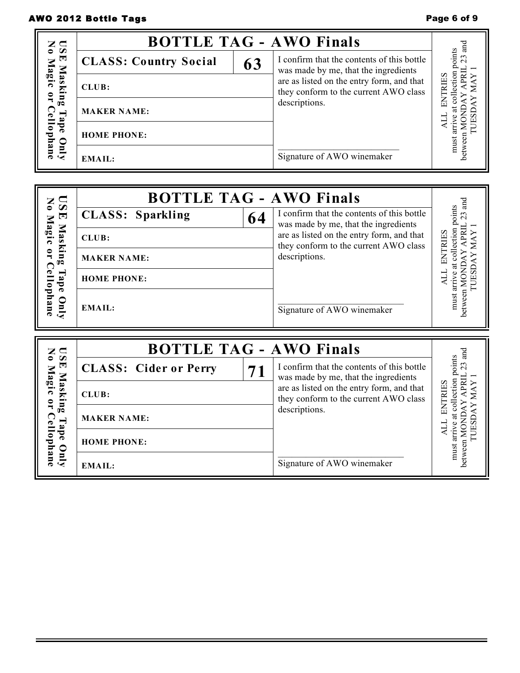## AWO 2012 Bottle Tags **Page 6 of 9** and 2012 Bottle Tags

|                                | <b>BOTTLE TAG - AWO Finals</b> |    |                                                                                    | ಡ            |
|--------------------------------|--------------------------------|----|------------------------------------------------------------------------------------|--------------|
| <b>DSE</b><br>No N<br>Magic    | <b>CLASS: Country Social</b>   | 63 | I confirm that the contents of this bottle<br>was made by me, that the ingredients | oints<br>23  |
| Maski<br>$\Xi$ .               | CLUB:                          |    | are as listed on the entry form, and that<br>they conform to the current AWO class | <b>RIIES</b> |
| Cel<br>$\overline{\mathbf{a}}$ | <b>MAKER NAME:</b>             |    | descriptions.                                                                      |              |
| ह<br>lo phane                  | <b>HOME PHONE:</b>             |    |                                                                                    | must         |
| Vnly                           | EMAIL:                         |    | Signature of AWO winemaker                                                         |              |

| $\sum_{i=1}^{n}$              | <b>BOTTLE TAG - AWO Finals</b> |                                                                                    | and           |
|-------------------------------|--------------------------------|------------------------------------------------------------------------------------|---------------|
| ਦ                             | <b>CLASS: Sparkling</b><br>64  | I confirm that the contents of this bottle<br>was made by me, that the ingredients | oints         |
| Magic<br>Mas                  | CLUB:                          | are as listed on the entry form, and that<br>they conform to the current AWO class | ទ             |
| $\sin g$<br>$\mathbf{L}$      | <b>MAKER NAME:</b>             | descriptions.                                                                      |               |
| ര<br>$\mathbf{I}$ ap          | <b>HOME PHONE:</b>             |                                                                                    |               |
| ᇰ<br>hane<br>$\sum_{i=1}^{n}$ | <b>EMAIL:</b>                  | Signature of AWO winemaker                                                         | must<br>etwee |

| $z \subseteq$<br>$\bullet$ |                              | <b>BOTTLE TAG - AWO Finals</b>                                                     | ਬੂਬ         |
|----------------------------|------------------------------|------------------------------------------------------------------------------------|-------------|
| , ⊠<br>⊞<br>Magic          | <b>CLASS: Cider or Perry</b> | I confirm that the contents of this bottle<br>was made by me, that the ingredients | oints<br>23 |
| Mas<br>$\mathbf{r}$        | CLUB:                        | are as listed on the entry form, and that<br>they conform to the current AWO class |             |
| $\mathbb{E}$<br>◠          | <b>MAKER NAME:</b>           | descriptions.                                                                      |             |
| ď<br>lophane               | <b>HOME PHONE:</b>           |                                                                                    | must        |
| Vnly                       | EMAIL:                       | Signature of AWO winemaker                                                         | betwee      |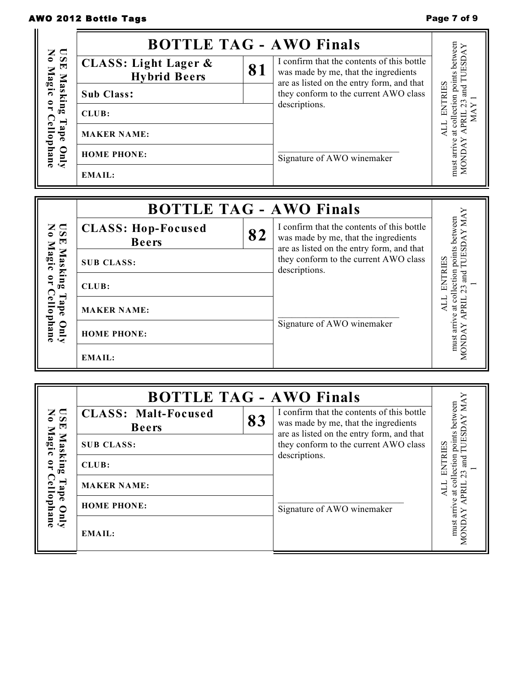## AWO 2012 Bottle Tags **Page 7 of 9** AWO 2012 Bottle Tags

|                                                        | <b>BOTTLE TAG - AWO Finals</b>                         |    |                                                                                                                                 |                                                                |
|--------------------------------------------------------|--------------------------------------------------------|----|---------------------------------------------------------------------------------------------------------------------------------|----------------------------------------------------------------|
| No Magic or Cellophane<br><b>ISE</b>                   | <b>CLASS: Light Lager &amp;</b><br><b>Hybrid Beers</b> | 81 | I confirm that the contents of this bottle<br>was made by me, that the ingredients<br>are as listed on the entry form, and that | must arrive at collection points between<br>and TUESDAY        |
| Masking                                                | Sub Class:                                             |    | they conform to the current AWO class                                                                                           |                                                                |
|                                                        | CLUB:                                                  |    | descriptions.                                                                                                                   | ALL ENTRIES<br>23<br>$\ensuremath{\text{MAX}}$<br><b>APRIL</b> |
| Tape                                                   | <b>MAKER NAME:</b>                                     |    |                                                                                                                                 |                                                                |
| Vnly                                                   | <b>HOME PHONE:</b>                                     |    | Signature of AWO winemaker                                                                                                      | <b>MONDAY</b>                                                  |
|                                                        | <b>EMAIL:</b>                                          |    |                                                                                                                                 |                                                                |
|                                                        |                                                        |    |                                                                                                                                 |                                                                |
|                                                        | <b>BOTTLE TAG - AWO Finals</b>                         |    |                                                                                                                                 |                                                                |
| No Magic or Cellophane<br>$\overline{\mathbf{S}}$<br>国 | <b>CLASS: Hop-Focused</b><br><b>Beers</b>              | 82 | I confirm that the contents of this bottle<br>was made by me, that the ingredients<br>are as listed on the entry form, and that | and TUESDAY MAY<br>must arrive at collection points between    |
| Masking                                                | <b>SUB CLASS:</b>                                      |    | they conform to the current AWO class<br>descriptions.                                                                          |                                                                |
|                                                        | CLUB:                                                  |    |                                                                                                                                 | <b>ENTRIES</b><br>23                                           |
| Tape                                                   | <b>MAKER NAME:</b>                                     |    |                                                                                                                                 | <b>ALL</b>                                                     |
| Vnly                                                   |                                                        |    |                                                                                                                                 |                                                                |
|                                                        | <b>HOME PHONE:</b>                                     |    | Signature of AWO winemaker                                                                                                      | MONDAY APRIL                                                   |

|                          | <b>BOTTLE TAG - AWO Finals</b>             |    |                                                                                                                                 |                             |
|--------------------------|--------------------------------------------|----|---------------------------------------------------------------------------------------------------------------------------------|-----------------------------|
| <b>DSI</b><br>더          | <b>CLASS: Malt-Focused</b><br><b>Beers</b> | 83 | I confirm that the contents of this bottle<br>was made by me, that the ingredients<br>are as listed on the entry form, and that | een<br>₹<br>betwe<br>Э      |
| Magic<br>Masking         | <b>SUB CLASS:</b>                          |    | they conform to the current AWO class                                                                                           | 0 <sub>int</sub><br>ې<br>۲۲ |
| $\overline{\phantom{a}}$ | CLUB:                                      |    | descriptions.                                                                                                                   | ction<br>Бuв                |
| င္ပြ<br>Tape             | <b>MAKER NAME:</b>                         |    |                                                                                                                                 | ಡ                           |
| lophane                  | <b>HOME PHONE:</b>                         |    | Signature of AWO winemaker                                                                                                      |                             |
| Vnly                     | <b>EMAIL:</b>                              |    |                                                                                                                                 | must arri<br><b>CINO</b>    |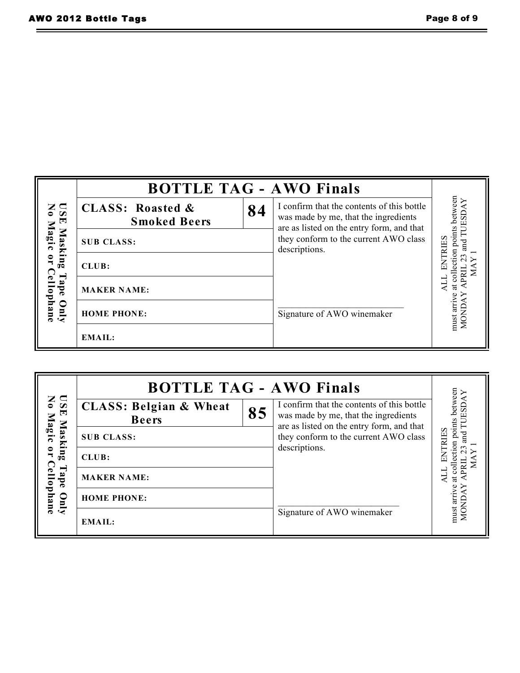| Page 8 of 9 |  |  |  |
|-------------|--|--|--|
|-------------|--|--|--|

|                                 | <b>BOTTLE TAG - AWO Finals</b>                     |    |                                                                                                                                 |                            |
|---------------------------------|----------------------------------------------------|----|---------------------------------------------------------------------------------------------------------------------------------|----------------------------|
| $\frac{1}{2}$<br>$\blacksquare$ | <b>CLASS: Roasted &amp;</b><br><b>Smoked Beers</b> | 84 | I confirm that the contents of this bottle<br>was made by me, that the ingredients<br>are as listed on the entry form, and that | oints between<br>d TUESDAY |
| Magic<br>Masking                | <b>SUB CLASS:</b>                                  |    | they conform to the current AWO class<br>descriptions.                                                                          |                            |
| $\overline{\phantom{a}}$        | CLUB:                                              |    |                                                                                                                                 |                            |
| <b>Cellophane</b><br>Tape       | <b>MAKER NAME:</b>                                 |    |                                                                                                                                 | ಡ                          |
| Qnly                            | <b>HOME PHONE:</b>                                 |    | Signature of AWO winemaker                                                                                                      | must arrive<br>MOND.       |
|                                 | <b>EMAIL:</b>                                      |    |                                                                                                                                 |                            |

|                                                                                                   | <b>BOTTLE TAG - AWO Finals</b>                    |    |                                                                                                                                 |                                           |
|---------------------------------------------------------------------------------------------------|---------------------------------------------------|----|---------------------------------------------------------------------------------------------------------------------------------|-------------------------------------------|
| USE<br>No l<br>Magic<br>Masking<br>$\mathbf{L}$<br>⊂<br>⊣<br>ellophane<br>ape<br>$\sum_{i=1}^{n}$ | <b>CLASS: Belgian &amp; Wheat</b><br><b>Beers</b> | 85 | I confirm that the contents of this bottle<br>was made by me, that the ingredients<br>are as listed on the entry form, and that | between<br>GS<br>on points<br><b>RIES</b> |
|                                                                                                   | <b>SUB CLASS:</b>                                 |    | they conform to the current AWO class                                                                                           |                                           |
|                                                                                                   | CLUB:                                             |    | descriptions.                                                                                                                   |                                           |
|                                                                                                   | <b>MAKER NAME:</b>                                |    |                                                                                                                                 |                                           |
|                                                                                                   | <b>HOME PHONE:</b>                                |    |                                                                                                                                 | $\frac{1}{2}$                             |
|                                                                                                   | <b>EMAIL:</b>                                     |    | Signature of AWO winemaker                                                                                                      | must arr<br>MOND                          |